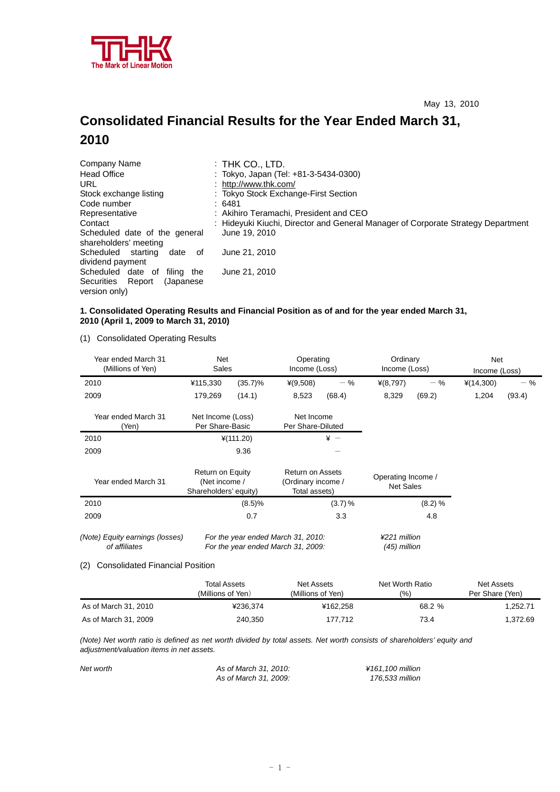

# **Consolidated Financial Results for the Year Ended March 31, 2010**

| Company Name                                            | : Thk Co., LTD.                                                                  |
|---------------------------------------------------------|----------------------------------------------------------------------------------|
| <b>Head Office</b>                                      | : Tokyo, Japan (Tel: +81-3-5434-0300)                                            |
| URL                                                     | : http://www.thk.com/                                                            |
| Stock exchange listing                                  | : Tokyo Stock Exchange-First Section                                             |
| Code number                                             | :6481                                                                            |
| Representative                                          | : Akihiro Teramachi, President and CEO                                           |
| Contact                                                 | : Hideyuki Kiuchi, Director and General Manager of Corporate Strategy Department |
| Scheduled date of the general<br>shareholders' meeting  | June 19, 2010                                                                    |
| Scheduled<br>starting<br>date<br>οf<br>dividend payment | June 21, 2010                                                                    |
| Scheduled date of<br>filing the                         | June 21, 2010                                                                    |
| Securities Report<br>(Japanese)<br>version only)        |                                                                                  |

## **1. Consolidated Operating Results and Financial Position as of and for the year ended March 31, 2010 (April 1, 2009 to March 31, 2010)**

(1) Consolidated Operating Results

| Year ended March 31<br>(Millions of Yen)                                                          |                                                            | Net<br>Operating<br>Sales |                                                                          | Income (Loss) |                                        | Ordinary<br>Income (Loss) | Net<br>Income (Loss) |        |
|---------------------------------------------------------------------------------------------------|------------------------------------------------------------|---------------------------|--------------------------------------------------------------------------|---------------|----------------------------------------|---------------------------|----------------------|--------|
| 2010                                                                                              | ¥115,330                                                   | $(35.7)\%$                | $*(9,508)$                                                               | $-$ %         | $*(8,797)$                             | $-$ %                     | $*(14,300)$          | $-$ %  |
| 2009                                                                                              | 179,269                                                    | (14.1)                    | 8,523                                                                    | (68.4)        | 8,329                                  | (69.2)                    | 1,204                | (93.4) |
| Year ended March 31<br>(Yen)                                                                      | Net Income (Loss)<br>Per Share-Basic                       |                           | Net Income<br>Per Share-Diluted                                          |               |                                        |                           |                      |        |
| 2010                                                                                              |                                                            | $*(111.20)$               |                                                                          | $* -$         |                                        |                           |                      |        |
| 2009                                                                                              |                                                            | 9.36                      |                                                                          |               |                                        |                           |                      |        |
| Year ended March 31                                                                               | Return on Equity<br>(Net income /<br>Shareholders' equity) |                           | <b>Return on Assets</b><br>(Ordinary income /<br>Total assets)           |               | Operating Income /<br><b>Net Sales</b> |                           |                      |        |
| 2010                                                                                              |                                                            | (8.5)%                    |                                                                          | (3.7) %       |                                        | (8.2) %                   |                      |        |
| 2009                                                                                              |                                                            | 0.7                       |                                                                          | 3.3           |                                        | 4.8                       |                      |        |
| (Note) Equity earnings (losses)<br>of affiliates<br><b>Consolidated Financial Position</b><br>(2) |                                                            |                           | For the year ended March 31, 2010:<br>For the year ended March 31, 2009: |               | ¥221 million<br>$(45)$ million         |                           |                      |        |
|                                                                                                   |                                                            |                           |                                                                          |               |                                        |                           |                      |        |

|                      | <b>Total Assets</b> | Net Assets        | Net Worth Ratio | Net Assets      |
|----------------------|---------------------|-------------------|-----------------|-----------------|
|                      | (Millions of Yen)   | (Millions of Yen) | (%`             | Per Share (Yen) |
| As of March 31, 2010 | ¥236.374            | ¥162.258          | 68.2 %          | .252.71         |
| As of March 31, 2009 | 240,350             | 177.712           | 73.4            | 1,372.69        |

*(Note) Net worth ratio is defined as net worth divided by total assets. Net worth consists of shareholders' equity and adjustment/valuation items in net assets.* 

| Net worth | As of March 31, 2010: | ¥161.100 million |
|-----------|-----------------------|------------------|
|           | As of March 31, 2009: | 176.533 million  |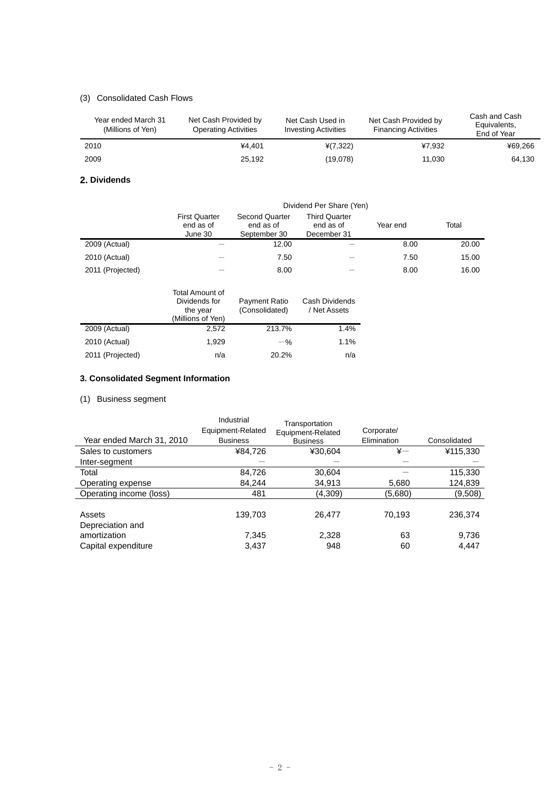## (3) Consolidated Cash Flows

| Year ended March 31<br>(Millions of Yen) | Net Cash Provided by<br><b>Operating Activities</b> | Net Cash Used in<br><b>Investing Activities</b> | Net Cash Provided by<br><b>Financing Activities</b> | Cash and Cash<br>Equivalents,<br>End of Year |
|------------------------------------------|-----------------------------------------------------|-------------------------------------------------|-----------------------------------------------------|----------------------------------------------|
| 2010                                     | ¥4.401                                              | $*(7,322)$                                      | ¥7.932                                              | ¥69.266                                      |
| 2009                                     | 25.192                                              | (19,078)                                        | 11.030                                              | 64.130                                       |

#### **2. Dividends**

|                  | Dividend Per Share (Yen)                     |                                                    |                                                  |          |       |  |
|------------------|----------------------------------------------|----------------------------------------------------|--------------------------------------------------|----------|-------|--|
|                  | <b>First Quarter</b><br>end as of<br>June 30 | <b>Second Quarter</b><br>end as of<br>September 30 | <b>Third Quarter</b><br>end as of<br>December 31 | Year end | Total |  |
| 2009 (Actual)    |                                              | 12.00                                              |                                                  | 8.00     | 20.00 |  |
| 2010 (Actual)    |                                              | 7.50                                               |                                                  | 7.50     | 15.00 |  |
| 2011 (Projected) |                                              | 8.00                                               |                                                  | 8.00     | 16.00 |  |

|                  | Total Amount of<br>Dividends for<br>the year<br>(Millions of Yen) | Payment Ratio<br>(Consolidated) | Cash Dividends<br>/ Net Assets |
|------------------|-------------------------------------------------------------------|---------------------------------|--------------------------------|
| 2009 (Actual)    | 2,572                                                             | 213.7%                          | 1.4%                           |
| 2010 (Actual)    | 1.929                                                             | $-$ %                           | 1.1%                           |
| 2011 (Projected) | n/a                                                               | 20.2%                           | n/a                            |

## **3. Consolidated Segment Information**

## (1) Business segment

|                            | Industrial<br>Equipment-Related | Transportation<br>Equipment-Related | Corporate/    |              |
|----------------------------|---------------------------------|-------------------------------------|---------------|--------------|
| Year ended March 31, 2010  | <b>Business</b>                 | <b>Business</b>                     | Elimination   | Consolidated |
| Sales to customers         | ¥84,726                         | ¥30,604                             | $\frac{1}{2}$ | ¥115,330     |
| Inter-segment              |                                 |                                     |               |              |
| Total                      | 84,726                          | 30,604                              |               | 115,330      |
| Operating expense          | 84,244                          | 34,913                              | 5,680         | 124,839      |
| Operating income (loss)    | 481                             | (4,309)                             | (5,680)       | (9,508)      |
| Assets<br>Depreciation and | 139,703                         | 26.477                              | 70,193        | 236,374      |
| amortization               | 7,345                           | 2,328                               | 63            | 9,736        |
| Capital expenditure        | 3,437                           | 948                                 | 60            | 4.447        |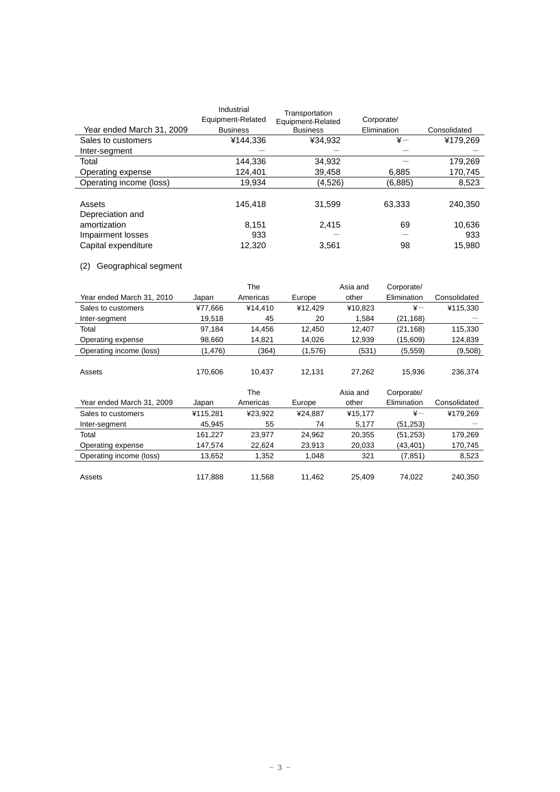|                           | Industrial        | Transportation    |             |              |
|---------------------------|-------------------|-------------------|-------------|--------------|
|                           | Equipment-Related | Equipment-Related | Corporate/  |              |
| Year ended March 31, 2009 | <b>Business</b>   | <b>Business</b>   | Elimination | Consolidated |
| Sales to customers        | ¥144,336          | ¥34.932           | $\ddot{x}-$ | ¥179,269     |
| Inter-segment             |                   |                   |             |              |
| Total                     | 144.336           | 34.932            |             | 179.269      |
| Operating expense         | 124,401           | 39,458            | 6,885       | 170,745      |
| Operating income (loss)   | 19.934            | (4,526)           | (6,885)     | 8,523        |
|                           |                   |                   |             |              |
| Assets                    | 145.418           | 31.599            | 63.333      | 240.350      |
| Depreciation and          |                   |                   |             |              |
| amortization              | 8.151             | 2.415             | 69          | 10,636       |
| Impairment losses         | 933               |                   |             | 933          |
| Capital expenditure       | 12.320            | 3,561             | 98          | 15.980       |

## (2) Geographical segment

|                           |          | The      |         | Asia and | Corporate/  |              |
|---------------------------|----------|----------|---------|----------|-------------|--------------|
| Year ended March 31, 2010 | Japan    | Americas | Europe  | other    | Elimination | Consolidated |
| Sales to customers        | ¥77.666  | ¥14.410  | ¥12.429 | ¥10.823  | $\ddot{x}-$ | ¥115.330     |
| Inter-segment             | 19.518   | 45       | 20      | 1,584    | (21, 168)   |              |
| Total                     | 97.184   | 14.456   | 12.450  | 12.407   | (21, 168)   | 115,330      |
| Operating expense         | 98,660   | 14,821   | 14.026  | 12,939   | (15,609)    | 124,839      |
| Operating income (loss)   | (1, 476) | (364)    | (1,576) | (531)    | (5, 559)    | (9,508)      |
|                           |          |          |         |          |             |              |
| Assets                    | 170.606  | 10.437   | 12.131  | 27.262   | 15.936      | 236.374      |

|                           |          | The      |         | Asia and | Corporate/   |              |
|---------------------------|----------|----------|---------|----------|--------------|--------------|
| Year ended March 31, 2009 | Japan    | Americas | Europe  | other    | Elimination  | Consolidated |
| Sales to customers        | ¥115.281 | ¥23.922  | ¥24.887 | ¥15.177  | $\ddot{x}$ — | ¥179.269     |
| Inter-segment             | 45.945   | 55       | 74      | 5,177    | (51, 253)    |              |
| Total                     | 161.227  | 23.977   | 24,962  | 20,355   | (51, 253)    | 179,269      |
| Operating expense         | 147.574  | 22,624   | 23,913  | 20,033   | (43, 401)    | 170,745      |
| Operating income (loss)   | 13.652   | 1,352    | 1.048   | 321      | (7, 851)     | 8,523        |
|                           |          |          |         |          |              |              |
| Assets                    | 117.888  | 11.568   | 11.462  | 25.409   | 74.022       | 240.350      |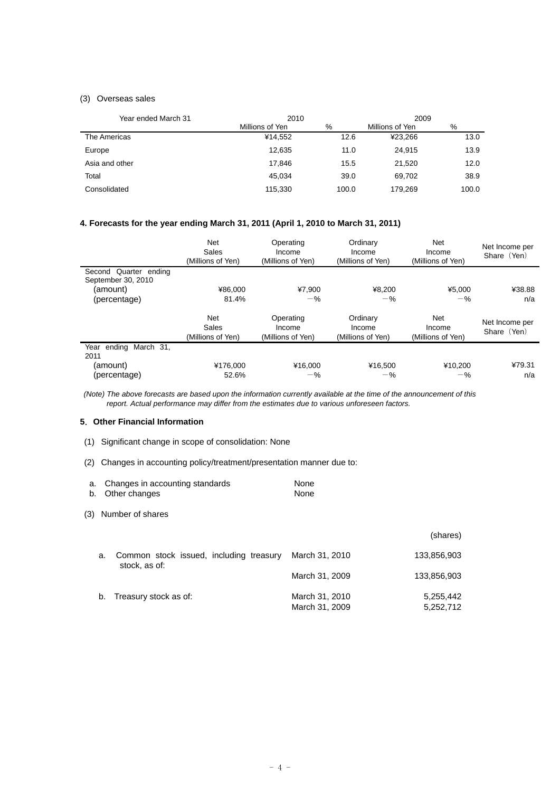## (3) Overseas sales

| Year ended March 31 | 2010            |       | 2009            |       |  |
|---------------------|-----------------|-------|-----------------|-------|--|
|                     | Millions of Yen | %     | Millions of Yen | %     |  |
| The Americas        | ¥14.552         | 12.6  | ¥23.266         | 13.0  |  |
| Europe              | 12.635          | 11.0  | 24.915          | 13.9  |  |
| Asia and other      | 17.846          | 15.5  | 21.520          | 12.0  |  |
| Total               | 45.034          | 39.0  | 69.702          | 38.9  |  |
| Consolidated        | 115,330         | 100.0 | 179.269         | 100.0 |  |

## **4. Forecasts for the year ending March 31, 2011 (April 1, 2010 to March 31, 2011)**

|                                             | <b>Net</b><br>Sales<br>(Millions of Yen) | Operating<br>Income<br>(Millions of Yen) | Ordinary<br>Income<br>(Millions of Yen) | <b>Net</b><br>Income<br>(Millions of Yen) | Net Income per<br>Share (Yen) |
|---------------------------------------------|------------------------------------------|------------------------------------------|-----------------------------------------|-------------------------------------------|-------------------------------|
| Second Quarter ending<br>September 30, 2010 |                                          |                                          |                                         |                                           |                               |
| (amount)                                    | ¥86.000                                  | ¥7.900                                   | ¥8.200                                  | ¥5.000                                    | ¥38.88                        |
| (percentage)                                | 81.4%                                    | $-$ %                                    | $-$ %                                   | $-\frac{9}{6}$                            | n/a                           |
|                                             | <b>Net</b><br>Sales<br>(Millions of Yen) | Operating<br>Income<br>(Millions of Yen) | Ordinary<br>Income<br>(Millions of Yen) | Net<br>Income<br>(Millions of Yen)        | Net Income per<br>Share (Yen) |
| Year ending March 31,<br>2011               |                                          |                                          |                                         |                                           |                               |
| (amount)                                    | ¥176,000                                 | ¥16,000                                  | ¥16,500                                 | ¥10,200                                   | ¥79.31                        |
| (percentage)                                | 52.6%                                    | $-$ %                                    | $-$ %                                   | $-$ %                                     | n/a                           |

 *(Note) The above forecasts are based upon the information currently available at the time of the announcement of this report. Actual performance may differ from the estimates due to various unforeseen factors.* 

#### **5**.**Other Financial Information**

- (1) Significant change in scope of consolidation: None
- (2) Changes in accounting policy/treatment/presentation manner due to:

| a. Changes in accounting standards | None |
|------------------------------------|------|
| b. Other changes                   | None |

#### (3) Number of shares

|    |                                                          |                | (shares)    |
|----|----------------------------------------------------------|----------------|-------------|
| a. | Common stock issued, including treasury<br>stock, as of: | March 31, 2010 | 133,856,903 |
|    |                                                          | March 31, 2009 | 133,856,903 |
| b. | Treasury stock as of:                                    | March 31, 2010 | 5,255,442   |
|    |                                                          | March 31, 2009 | 5,252,712   |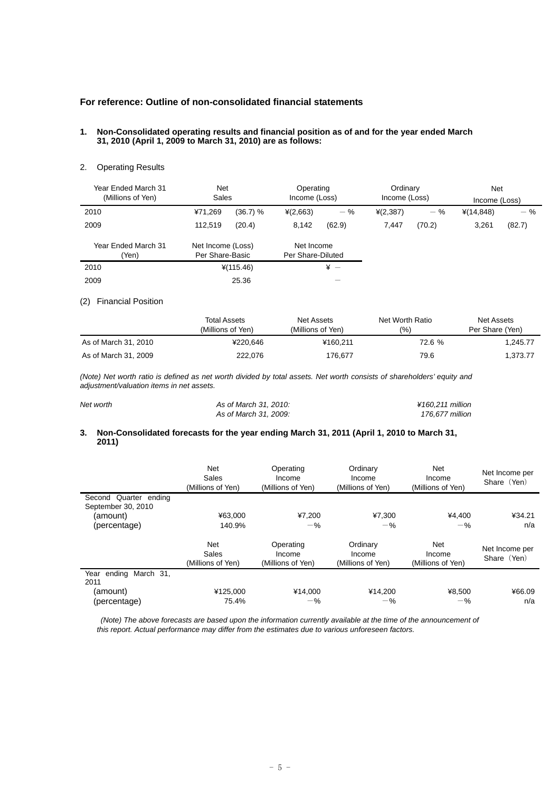## **For reference: Outline of non-consolidated financial statements**

#### **1. Non-Consolidated operating results and financial position as of and for the year ended March 31, 2010 (April 1, 2009 to March 31, 2010) are as follows:**

### 2. Operating Results

| Year Ended March 31<br>(Millions of Yen) | <b>Net</b><br>Sales                  |             | Operating<br>Income (Loss)      |                   | Ordinary<br>Income (Loss) |        | <b>Net</b><br>Income (Loss) |        |
|------------------------------------------|--------------------------------------|-------------|---------------------------------|-------------------|---------------------------|--------|-----------------------------|--------|
| 2010                                     | ¥71,269                              | (36.7) %    | $*(2,663)$                      | $-$ %             | $*(2,387)$                | $-$ %  | $*(14, 848)$                | $-$ %  |
| 2009                                     | 112.519                              | (20.4)      | 8,142                           | (62.9)            | 7.447                     | (70.2) | 3,261                       | (82.7) |
| Year Ended March 31<br>(Yen)             | Net Income (Loss)<br>Per Share-Basic |             | Net Income<br>Per Share-Diluted |                   |                           |        |                             |        |
| 2010                                     |                                      | $*(115.46)$ |                                 | $\frac{1}{2}$ $-$ |                           |        |                             |        |
| 2009                                     |                                      | 25.36       |                                 |                   |                           |        |                             |        |

#### (2) Financial Position

|                      | <b>Total Assets</b><br>(Millions of Yen) | Net Assets<br>(Millions of Yen) | Net Worth Ratio<br>(9/0) | Net Assets<br>Per Share (Yen) |
|----------------------|------------------------------------------|---------------------------------|--------------------------|-------------------------------|
| As of March 31, 2010 | ¥220.646                                 | ¥160.211                        | 72.6 %                   | 1.245.77                      |
| As of March 31, 2009 | 222.076                                  | 176.677                         | 79.6                     | 1.373.77                      |

*(Note) Net worth ratio is defined as net worth divided by total assets. Net worth consists of shareholders' equity and adjustment/valuation items in net assets.* 

| Net worth | As of March 31, 2010: | ¥160.211 million |
|-----------|-----------------------|------------------|
|           | As of March 31, 2009: | 176.677 million  |

#### **3. Non-Consolidated forecasts for the year ending March 31, 2011 (April 1, 2010 to March 31, 2011)**

|                                             | <b>Net</b><br>Sales<br>(Millions of Yen) | Operating<br>Income<br>(Millions of Yen) | Ordinary<br>Income<br>(Millions of Yen) | Net<br>Income<br>(Millions of Yen) | Net Income per<br>Share (Yen) |
|---------------------------------------------|------------------------------------------|------------------------------------------|-----------------------------------------|------------------------------------|-------------------------------|
| Second Quarter ending<br>September 30, 2010 |                                          |                                          |                                         |                                    |                               |
| (amount)                                    | ¥63.000                                  | ¥7.200                                   | ¥7,300                                  | ¥4.400                             | ¥34.21                        |
| (percentage)                                | 140.9%                                   | $-$ %                                    | $-$ %                                   | $-$ %                              | n/a                           |
|                                             | <b>Net</b><br>Sales<br>(Millions of Yen) | Operating<br>Income<br>(Millions of Yen) | Ordinary<br>Income<br>(Millions of Yen) | Net<br>Income<br>(Millions of Yen) | Net Income per<br>Share (Yen) |
| Year ending March 31.<br>2011               |                                          |                                          |                                         |                                    |                               |
| (amount)<br>(percentage)                    | ¥125,000<br>75.4%                        | ¥14.000<br>$-\%$                         | ¥14.200<br>$-$ %                        | ¥8.500<br>$-$ %                    | ¥66.09<br>n/a                 |

*(Note) The above forecasts are based upon the information currently available at the time of the announcement of this report. Actual performance may differ from the estimates due to various unforeseen factors.*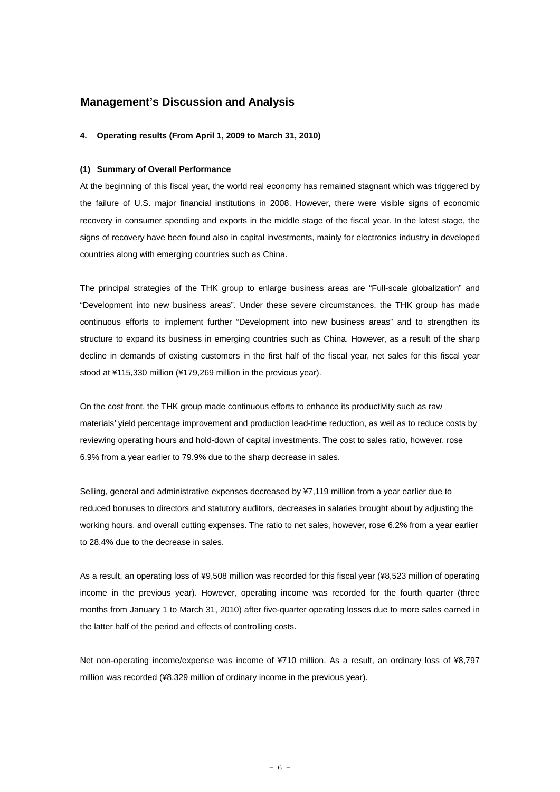## **Management's Discussion and Analysis**

#### **4. Operating results (From April 1, 2009 to March 31, 2010)**

#### **(1) Summary of Overall Performance**

At the beginning of this fiscal year, the world real economy has remained stagnant which was triggered by the failure of U.S. major financial institutions in 2008. However, there were visible signs of economic recovery in consumer spending and exports in the middle stage of the fiscal year. In the latest stage, the signs of recovery have been found also in capital investments, mainly for electronics industry in developed countries along with emerging countries such as China.

The principal strategies of the THK group to enlarge business areas are "Full-scale globalization" and "Development into new business areas". Under these severe circumstances, the THK group has made continuous efforts to implement further "Development into new business areas" and to strengthen its structure to expand its business in emerging countries such as China. However, as a result of the sharp decline in demands of existing customers in the first half of the fiscal year, net sales for this fiscal year stood at ¥115,330 million (¥179,269 million in the previous year).

On the cost front, the THK group made continuous efforts to enhance its productivity such as raw materials' yield percentage improvement and production lead-time reduction, as well as to reduce costs by reviewing operating hours and hold-down of capital investments. The cost to sales ratio, however, rose 6.9% from a year earlier to 79.9% due to the sharp decrease in sales.

Selling, general and administrative expenses decreased by ¥7,119 million from a year earlier due to reduced bonuses to directors and statutory auditors, decreases in salaries brought about by adjusting the working hours, and overall cutting expenses. The ratio to net sales, however, rose 6.2% from a year earlier to 28.4% due to the decrease in sales.

As a result, an operating loss of ¥9,508 million was recorded for this fiscal year (¥8,523 million of operating income in the previous year). However, operating income was recorded for the fourth quarter (three months from January 1 to March 31, 2010) after five-quarter operating losses due to more sales earned in the latter half of the period and effects of controlling costs.

Net non-operating income/expense was income of ¥710 million. As a result, an ordinary loss of ¥8,797 million was recorded (¥8,329 million of ordinary income in the previous year).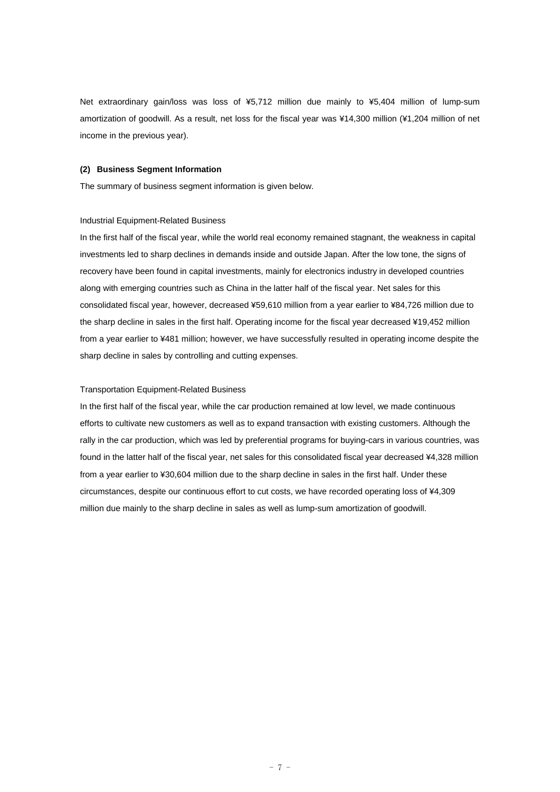Net extraordinary gain/loss was loss of ¥5,712 million due mainly to ¥5,404 million of lump-sum amortization of goodwill. As a result, net loss for the fiscal year was ¥14,300 million (¥1,204 million of net income in the previous year).

#### **(2) Business Segment Information**

The summary of business segment information is given below.

## Industrial Equipment-Related Business

In the first half of the fiscal year, while the world real economy remained stagnant, the weakness in capital investments led to sharp declines in demands inside and outside Japan. After the low tone, the signs of recovery have been found in capital investments, mainly for electronics industry in developed countries along with emerging countries such as China in the latter half of the fiscal year. Net sales for this consolidated fiscal year, however, decreased ¥59,610 million from a year earlier to ¥84,726 million due to the sharp decline in sales in the first half. Operating income for the fiscal year decreased ¥19,452 million from a year earlier to ¥481 million; however, we have successfully resulted in operating income despite the sharp decline in sales by controlling and cutting expenses.

#### Transportation Equipment-Related Business

In the first half of the fiscal year, while the car production remained at low level, we made continuous efforts to cultivate new customers as well as to expand transaction with existing customers. Although the rally in the car production, which was led by preferential programs for buying-cars in various countries, was found in the latter half of the fiscal year, net sales for this consolidated fiscal year decreased ¥4,328 million from a year earlier to ¥30,604 million due to the sharp decline in sales in the first half. Under these circumstances, despite our continuous effort to cut costs, we have recorded operating loss of ¥4,309 million due mainly to the sharp decline in sales as well as lump-sum amortization of goodwill.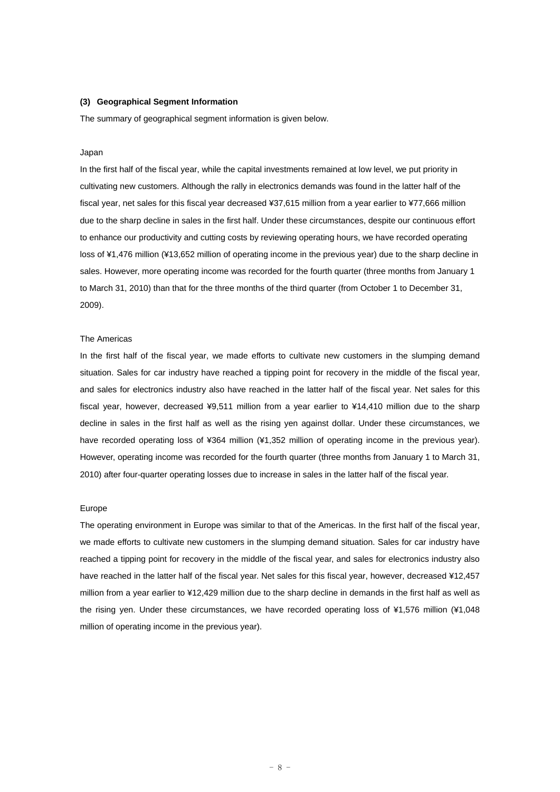#### **(3) Geographical Segment Information**

The summary of geographical segment information is given below.

#### Japan

In the first half of the fiscal year, while the capital investments remained at low level, we put priority in cultivating new customers. Although the rally in electronics demands was found in the latter half of the fiscal year, net sales for this fiscal year decreased ¥37,615 million from a year earlier to ¥77,666 million due to the sharp decline in sales in the first half. Under these circumstances, despite our continuous effort to enhance our productivity and cutting costs by reviewing operating hours, we have recorded operating loss of ¥1,476 million (¥13,652 million of operating income in the previous year) due to the sharp decline in sales. However, more operating income was recorded for the fourth quarter (three months from January 1 to March 31, 2010) than that for the three months of the third quarter (from October 1 to December 31, 2009).

#### The Americas

In the first half of the fiscal year, we made efforts to cultivate new customers in the slumping demand situation. Sales for car industry have reached a tipping point for recovery in the middle of the fiscal year, and sales for electronics industry also have reached in the latter half of the fiscal year. Net sales for this fiscal year, however, decreased ¥9,511 million from a year earlier to ¥14,410 million due to the sharp decline in sales in the first half as well as the rising yen against dollar. Under these circumstances, we have recorded operating loss of ¥364 million (¥1,352 million of operating income in the previous year). However, operating income was recorded for the fourth quarter (three months from January 1 to March 31, 2010) after four-quarter operating losses due to increase in sales in the latter half of the fiscal year.

#### Europe

The operating environment in Europe was similar to that of the Americas. In the first half of the fiscal year, we made efforts to cultivate new customers in the slumping demand situation. Sales for car industry have reached a tipping point for recovery in the middle of the fiscal year, and sales for electronics industry also have reached in the latter half of the fiscal year. Net sales for this fiscal year, however, decreased ¥12,457 million from a year earlier to ¥12,429 million due to the sharp decline in demands in the first half as well as the rising yen. Under these circumstances, we have recorded operating loss of ¥1,576 million (¥1,048 million of operating income in the previous year).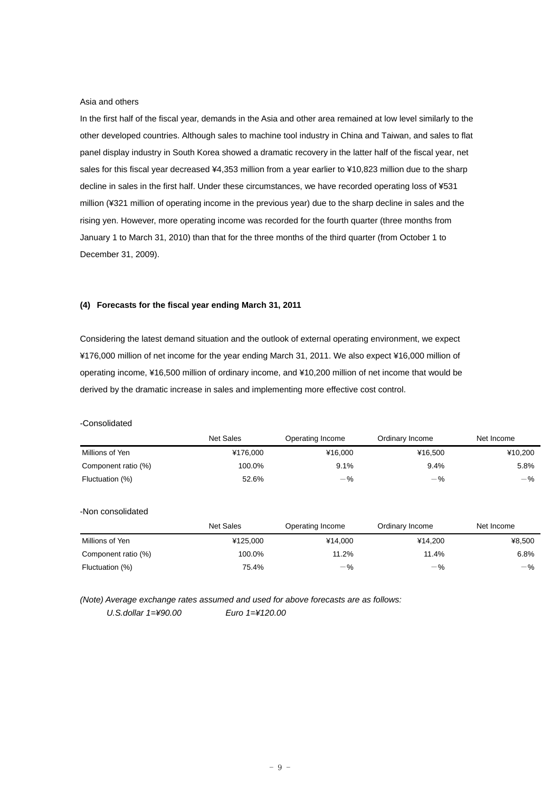#### Asia and others

In the first half of the fiscal year, demands in the Asia and other area remained at low level similarly to the other developed countries. Although sales to machine tool industry in China and Taiwan, and sales to flat panel display industry in South Korea showed a dramatic recovery in the latter half of the fiscal year, net sales for this fiscal year decreased ¥4,353 million from a year earlier to ¥10,823 million due to the sharp decline in sales in the first half. Under these circumstances, we have recorded operating loss of ¥531 million (¥321 million of operating income in the previous year) due to the sharp decline in sales and the rising yen. However, more operating income was recorded for the fourth quarter (three months from January 1 to March 31, 2010) than that for the three months of the third quarter (from October 1 to December 31, 2009).

### **(4) Forecasts for the fiscal year ending March 31, 2011**

Considering the latest demand situation and the outlook of external operating environment, we expect ¥176,000 million of net income for the year ending March 31, 2011. We also expect ¥16,000 million of operating income, ¥16,500 million of ordinary income, and ¥10,200 million of net income that would be derived by the dramatic increase in sales and implementing more effective cost control.

|                     | <b>Net Sales</b> | Operating Income | Ordinary Income | Net Income |
|---------------------|------------------|------------------|-----------------|------------|
| Millions of Yen     | ¥176.000         | ¥16,000          | ¥16,500         | ¥10,200    |
| Component ratio (%) | 100.0%           | 9.1%             | 9.4%            | 5.8%       |
| Fluctuation (%)     | 52.6%            | $-$ %            | $-$ %           | $-$ %      |
| -Non consolidated   |                  |                  |                 |            |
|                     | <b>Net Sales</b> | Operating Income | Ordinary Income | Net Income |
| Millions of Yen     | ¥125.000         | ¥14.000          | ¥14.200         | ¥8,500     |
| Component ratio (%) | 100.0%           | 11.2%            | 11.4%           | 6.8%       |
| Fluctuation (%)     | 75.4%            | $-$ %            | $-$ %           | $-$ %      |

## -Consolidated

*(Note) Average exchange rates assumed and used for above forecasts are as follows:* 

*U.S.dollar 1=¥90.00 Euro 1=¥120.00*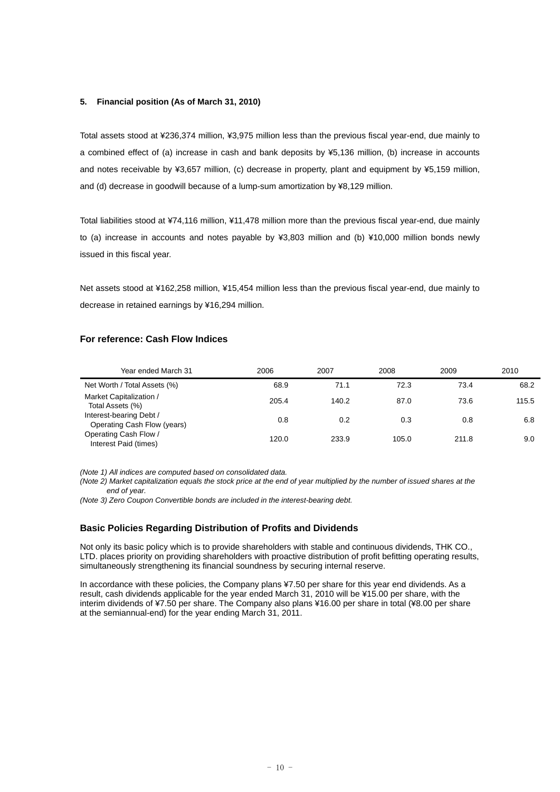#### **5. Financial position (As of March 31, 2010)**

Total assets stood at ¥236,374 million, ¥3,975 million less than the previous fiscal year-end, due mainly to a combined effect of (a) increase in cash and bank deposits by ¥5,136 million, (b) increase in accounts and notes receivable by ¥3,657 million, (c) decrease in property, plant and equipment by ¥5,159 million, and (d) decrease in goodwill because of a lump-sum amortization by ¥8,129 million.

Total liabilities stood at ¥74,116 million, ¥11,478 million more than the previous fiscal year-end, due mainly to (a) increase in accounts and notes payable by ¥3,803 million and (b) ¥10,000 million bonds newly issued in this fiscal year.

Net assets stood at ¥162,258 million, ¥15,454 million less than the previous fiscal year-end, due mainly to decrease in retained earnings by ¥16,294 million.

## **For reference: Cash Flow Indices**

| Year ended March 31                                    | 2006  | 2007  | 2008  | 2009  | 2010  |
|--------------------------------------------------------|-------|-------|-------|-------|-------|
| Net Worth / Total Assets (%)                           | 68.9  | 71.1  | 72.3  | 73.4  | 68.2  |
| Market Capitalization /<br>Total Assets (%)            | 205.4 | 140.2 | 87.0  | 73.6  | 115.5 |
| Interest-bearing Debt /<br>Operating Cash Flow (years) | 0.8   | 0.2   | 0.3   | 0.8   | 6.8   |
| Operating Cash Flow /<br>Interest Paid (times)         | 120.0 | 233.9 | 105.0 | 211.8 | 9.0   |

*(Note 1) All indices are computed based on consolidated data.* 

*(Note 2) Market capitalization equals the stock price at the end of year multiplied by the number of issued shares at the end of year.* 

*(Note 3) Zero Coupon Convertible bonds are included in the interest-bearing debt.* 

#### **Basic Policies Regarding Distribution of Profits and Dividends**

Not only its basic policy which is to provide shareholders with stable and continuous dividends, THK CO., LTD. places priority on providing shareholders with proactive distribution of profit befitting operating results, simultaneously strengthening its financial soundness by securing internal reserve.

In accordance with these policies, the Company plans ¥7.50 per share for this year end dividends. As a result, cash dividends applicable for the year ended March 31, 2010 will be ¥15.00 per share, with the interim dividends of ¥7.50 per share. The Company also plans ¥16.00 per share in total (¥8.00 per share at the semiannual-end) for the year ending March 31, 2011.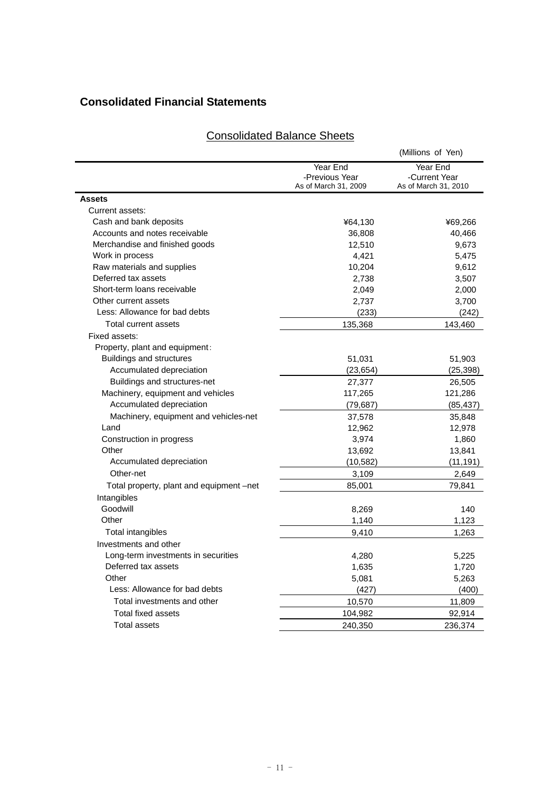## **Consolidated Financial Statements**

| Year End<br>Year End<br>-Previous Year<br>-Current Year<br>As of March 31, 2009<br>Assets<br>Current assets:<br>Cash and bank deposits<br>¥64,130<br>Accounts and notes receivable<br>36,808<br>Merchandise and finished goods<br>12,510<br>Work in process<br>4,421<br>Raw materials and supplies<br>10,204<br>Deferred tax assets<br>2,738<br>Short-term loans receivable<br>2,049<br>Other current assets<br>2,737<br>Less: Allowance for bad debts<br>(233)<br>Total current assets<br>135,368<br>Fixed assets:<br>Property, plant and equipment:<br><b>Buildings and structures</b><br>51,031<br>Accumulated depreciation<br>(23, 654)<br>27,377<br>Buildings and structures-net<br>Machinery, equipment and vehicles<br>117,265<br>Accumulated depreciation<br>(79, 687)<br>Machinery, equipment and vehicles-net<br>37,578<br>Land<br>12,962<br>Construction in progress<br>3,974<br>Other<br>13,692<br>Accumulated depreciation<br>(10, 582)<br>Other-net<br>3,109 |                                          |        | (Millions of Yen)    |
|----------------------------------------------------------------------------------------------------------------------------------------------------------------------------------------------------------------------------------------------------------------------------------------------------------------------------------------------------------------------------------------------------------------------------------------------------------------------------------------------------------------------------------------------------------------------------------------------------------------------------------------------------------------------------------------------------------------------------------------------------------------------------------------------------------------------------------------------------------------------------------------------------------------------------------------------------------------------------|------------------------------------------|--------|----------------------|
|                                                                                                                                                                                                                                                                                                                                                                                                                                                                                                                                                                                                                                                                                                                                                                                                                                                                                                                                                                            |                                          |        | As of March 31, 2010 |
|                                                                                                                                                                                                                                                                                                                                                                                                                                                                                                                                                                                                                                                                                                                                                                                                                                                                                                                                                                            |                                          |        |                      |
|                                                                                                                                                                                                                                                                                                                                                                                                                                                                                                                                                                                                                                                                                                                                                                                                                                                                                                                                                                            |                                          |        |                      |
|                                                                                                                                                                                                                                                                                                                                                                                                                                                                                                                                                                                                                                                                                                                                                                                                                                                                                                                                                                            |                                          |        | ¥69,266              |
|                                                                                                                                                                                                                                                                                                                                                                                                                                                                                                                                                                                                                                                                                                                                                                                                                                                                                                                                                                            |                                          |        | 40,466               |
|                                                                                                                                                                                                                                                                                                                                                                                                                                                                                                                                                                                                                                                                                                                                                                                                                                                                                                                                                                            |                                          |        | 9,673                |
|                                                                                                                                                                                                                                                                                                                                                                                                                                                                                                                                                                                                                                                                                                                                                                                                                                                                                                                                                                            |                                          |        | 5,475                |
|                                                                                                                                                                                                                                                                                                                                                                                                                                                                                                                                                                                                                                                                                                                                                                                                                                                                                                                                                                            |                                          |        | 9,612                |
|                                                                                                                                                                                                                                                                                                                                                                                                                                                                                                                                                                                                                                                                                                                                                                                                                                                                                                                                                                            |                                          |        | 3,507                |
|                                                                                                                                                                                                                                                                                                                                                                                                                                                                                                                                                                                                                                                                                                                                                                                                                                                                                                                                                                            |                                          |        | 2,000                |
|                                                                                                                                                                                                                                                                                                                                                                                                                                                                                                                                                                                                                                                                                                                                                                                                                                                                                                                                                                            |                                          |        | 3,700                |
|                                                                                                                                                                                                                                                                                                                                                                                                                                                                                                                                                                                                                                                                                                                                                                                                                                                                                                                                                                            |                                          |        | (242)                |
|                                                                                                                                                                                                                                                                                                                                                                                                                                                                                                                                                                                                                                                                                                                                                                                                                                                                                                                                                                            |                                          |        | 143,460              |
|                                                                                                                                                                                                                                                                                                                                                                                                                                                                                                                                                                                                                                                                                                                                                                                                                                                                                                                                                                            |                                          |        |                      |
|                                                                                                                                                                                                                                                                                                                                                                                                                                                                                                                                                                                                                                                                                                                                                                                                                                                                                                                                                                            |                                          |        |                      |
|                                                                                                                                                                                                                                                                                                                                                                                                                                                                                                                                                                                                                                                                                                                                                                                                                                                                                                                                                                            |                                          |        | 51,903               |
|                                                                                                                                                                                                                                                                                                                                                                                                                                                                                                                                                                                                                                                                                                                                                                                                                                                                                                                                                                            |                                          |        | (25, 398)            |
|                                                                                                                                                                                                                                                                                                                                                                                                                                                                                                                                                                                                                                                                                                                                                                                                                                                                                                                                                                            |                                          |        | 26,505               |
|                                                                                                                                                                                                                                                                                                                                                                                                                                                                                                                                                                                                                                                                                                                                                                                                                                                                                                                                                                            |                                          |        | 121,286              |
|                                                                                                                                                                                                                                                                                                                                                                                                                                                                                                                                                                                                                                                                                                                                                                                                                                                                                                                                                                            |                                          |        | (85, 437)            |
|                                                                                                                                                                                                                                                                                                                                                                                                                                                                                                                                                                                                                                                                                                                                                                                                                                                                                                                                                                            |                                          |        | 35,848               |
|                                                                                                                                                                                                                                                                                                                                                                                                                                                                                                                                                                                                                                                                                                                                                                                                                                                                                                                                                                            |                                          |        | 12,978               |
|                                                                                                                                                                                                                                                                                                                                                                                                                                                                                                                                                                                                                                                                                                                                                                                                                                                                                                                                                                            |                                          |        | 1,860                |
|                                                                                                                                                                                                                                                                                                                                                                                                                                                                                                                                                                                                                                                                                                                                                                                                                                                                                                                                                                            |                                          |        | 13,841               |
|                                                                                                                                                                                                                                                                                                                                                                                                                                                                                                                                                                                                                                                                                                                                                                                                                                                                                                                                                                            |                                          |        | (11, 191)            |
|                                                                                                                                                                                                                                                                                                                                                                                                                                                                                                                                                                                                                                                                                                                                                                                                                                                                                                                                                                            |                                          |        | 2,649                |
|                                                                                                                                                                                                                                                                                                                                                                                                                                                                                                                                                                                                                                                                                                                                                                                                                                                                                                                                                                            | Total property, plant and equipment -net | 85,001 | 79,841               |
| Intangibles                                                                                                                                                                                                                                                                                                                                                                                                                                                                                                                                                                                                                                                                                                                                                                                                                                                                                                                                                                |                                          |        |                      |
| Goodwill<br>8,269                                                                                                                                                                                                                                                                                                                                                                                                                                                                                                                                                                                                                                                                                                                                                                                                                                                                                                                                                          |                                          |        | 140                  |
| Other<br>1,140                                                                                                                                                                                                                                                                                                                                                                                                                                                                                                                                                                                                                                                                                                                                                                                                                                                                                                                                                             |                                          |        | 1,123                |
| Total intangibles<br>9,410                                                                                                                                                                                                                                                                                                                                                                                                                                                                                                                                                                                                                                                                                                                                                                                                                                                                                                                                                 |                                          |        | 1,263                |
| Investments and other                                                                                                                                                                                                                                                                                                                                                                                                                                                                                                                                                                                                                                                                                                                                                                                                                                                                                                                                                      |                                          |        |                      |
| Long-term investments in securities<br>4,280                                                                                                                                                                                                                                                                                                                                                                                                                                                                                                                                                                                                                                                                                                                                                                                                                                                                                                                               |                                          |        | 5,225                |
| Deferred tax assets<br>1,635                                                                                                                                                                                                                                                                                                                                                                                                                                                                                                                                                                                                                                                                                                                                                                                                                                                                                                                                               |                                          |        | 1,720                |
| Other<br>5,081                                                                                                                                                                                                                                                                                                                                                                                                                                                                                                                                                                                                                                                                                                                                                                                                                                                                                                                                                             |                                          |        | 5,263                |
| Less: Allowance for bad debts<br>(427)                                                                                                                                                                                                                                                                                                                                                                                                                                                                                                                                                                                                                                                                                                                                                                                                                                                                                                                                     |                                          |        | (400)                |
| Total investments and other<br>10,570                                                                                                                                                                                                                                                                                                                                                                                                                                                                                                                                                                                                                                                                                                                                                                                                                                                                                                                                      |                                          |        | 11,809               |
| <b>Total fixed assets</b><br>104,982                                                                                                                                                                                                                                                                                                                                                                                                                                                                                                                                                                                                                                                                                                                                                                                                                                                                                                                                       |                                          |        | 92,914               |
| <b>Total assets</b><br>240,350                                                                                                                                                                                                                                                                                                                                                                                                                                                                                                                                                                                                                                                                                                                                                                                                                                                                                                                                             |                                          |        | 236,374              |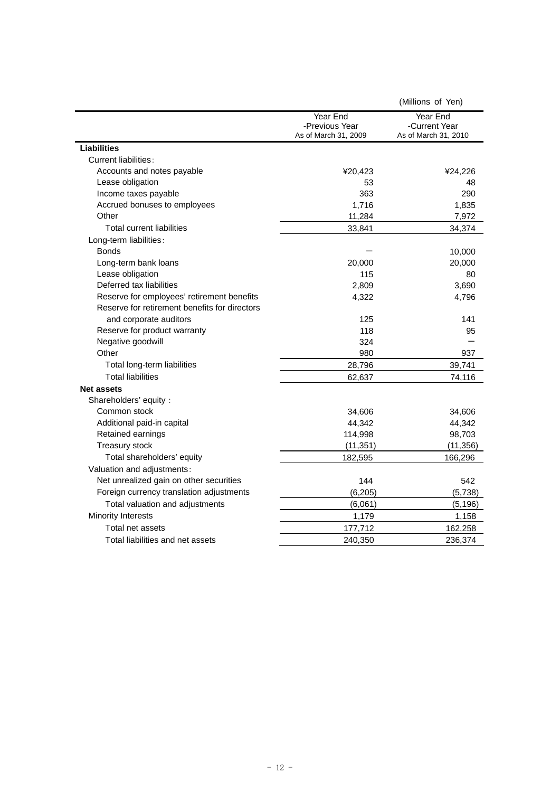|                                               |                                                    | (Millions of Yen)                                 |
|-----------------------------------------------|----------------------------------------------------|---------------------------------------------------|
|                                               | Year End<br>-Previous Year<br>As of March 31, 2009 | Year End<br>-Current Year<br>As of March 31, 2010 |
| <b>Liabilities</b>                            |                                                    |                                                   |
| <b>Current liabilities:</b>                   |                                                    |                                                   |
| Accounts and notes payable                    | ¥20,423                                            | ¥24,226                                           |
| Lease obligation                              | 53                                                 | 48                                                |
| Income taxes payable                          | 363                                                | 290                                               |
| Accrued bonuses to employees                  | 1,716                                              | 1,835                                             |
| Other                                         | 11,284                                             | 7,972                                             |
| <b>Total current liabilities</b>              | 33,841                                             | 34,374                                            |
| Long-term liabilities:                        |                                                    |                                                   |
| <b>Bonds</b>                                  |                                                    | 10,000                                            |
| Long-term bank loans                          | 20,000                                             | 20,000                                            |
| Lease obligation                              | 115                                                | 80                                                |
| Deferred tax liabilities                      | 2,809                                              | 3,690                                             |
| Reserve for employees' retirement benefits    | 4,322                                              | 4,796                                             |
| Reserve for retirement benefits for directors |                                                    |                                                   |
| and corporate auditors                        | 125                                                | 141                                               |
| Reserve for product warranty                  | 118                                                | 95                                                |
| Negative goodwill                             | 324                                                |                                                   |
| Other                                         | 980                                                | 937                                               |
| Total long-term liabilities                   | 28,796                                             | 39,741                                            |
| <b>Total liabilities</b>                      | 62,637                                             | 74,116                                            |
| <b>Net assets</b>                             |                                                    |                                                   |
| Shareholders' equity :                        |                                                    |                                                   |
| Common stock                                  | 34,606                                             | 34,606                                            |
| Additional paid-in capital                    | 44,342                                             | 44,342                                            |
| Retained earnings                             | 114,998                                            | 98,703                                            |
| <b>Treasury stock</b>                         | (11, 351)                                          | (11, 356)                                         |
| Total shareholders' equity                    | 182,595                                            | 166,296                                           |
| Valuation and adjustments:                    |                                                    |                                                   |
| Net unrealized gain on other securities       | 144                                                | 542                                               |
| Foreign currency translation adjustments      | (6, 205)                                           | (5,738)                                           |
| Total valuation and adjustments               | (6,061)                                            | (5, 196)                                          |
| <b>Minority Interests</b>                     | 1,179                                              | 1,158                                             |
| Total net assets                              | 177,712                                            | 162,258                                           |
| Total liabilities and net assets              | 240.350                                            | 236,374                                           |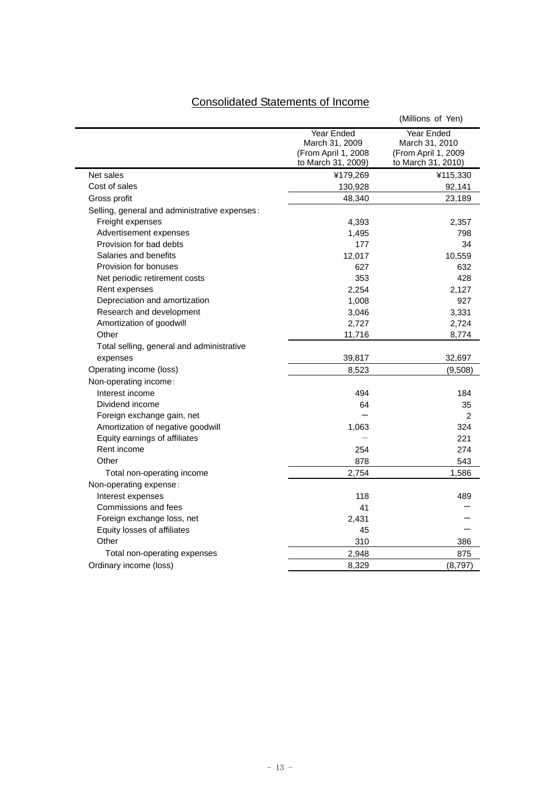# Consolidated Statements of Income

|                                               |                                                                           | (Millions of Yen)                                                         |
|-----------------------------------------------|---------------------------------------------------------------------------|---------------------------------------------------------------------------|
|                                               | Year Ended<br>March 31, 2009<br>(From April 1, 2008<br>to March 31, 2009) | Year Ended<br>March 31, 2010<br>(From April 1, 2009<br>to March 31, 2010) |
| Net sales                                     | ¥179,269                                                                  | ¥115,330                                                                  |
| Cost of sales                                 | 130,928                                                                   | 92,141                                                                    |
| Gross profit                                  | 48,340                                                                    | 23,189                                                                    |
| Selling, general and administrative expenses: |                                                                           |                                                                           |
| Freight expenses                              | 4,393                                                                     | 2,357                                                                     |
| Advertisement expenses                        | 1,495                                                                     | 798                                                                       |
| Provision for bad debts                       | 177                                                                       | 34                                                                        |
| Salaries and benefits                         | 12,017                                                                    | 10,559                                                                    |
| Provision for bonuses                         | 627                                                                       | 632                                                                       |
| Net periodic retirement costs                 | 353                                                                       | 428                                                                       |
| Rent expenses                                 | 2,254                                                                     | 2,127                                                                     |
| Depreciation and amortization                 | 1,008                                                                     | 927                                                                       |
| Research and development                      | 3,046                                                                     | 3,331                                                                     |
| Amortization of goodwill                      | 2,727                                                                     | 2,724                                                                     |
| Other                                         | 11,716                                                                    | 8,774                                                                     |
| Total selling, general and administrative     |                                                                           |                                                                           |
| expenses                                      | 39,817                                                                    | 32,697                                                                    |
| Operating income (loss)                       | 8,523                                                                     | (9,508)                                                                   |
| Non-operating income:                         |                                                                           |                                                                           |
| Interest income                               | 494                                                                       | 184                                                                       |
| Dividend income                               | 64                                                                        | 35                                                                        |
| Foreign exchange gain, net                    |                                                                           | 2                                                                         |
| Amortization of negative goodwill             | 1,063                                                                     | 324                                                                       |
| Equity earnings of affiliates                 |                                                                           | 221                                                                       |
| Rent income                                   | 254                                                                       | 274                                                                       |
| Other                                         | 878                                                                       | 543                                                                       |
| Total non-operating income                    | 2,754                                                                     | 1,586                                                                     |
| Non-operating expense:                        |                                                                           |                                                                           |
| Interest expenses                             | 118                                                                       | 489                                                                       |
| Commissions and fees                          | 41                                                                        |                                                                           |
| Foreign exchange loss, net                    | 2,431                                                                     |                                                                           |
| Equity losses of affiliates                   | 45                                                                        |                                                                           |
| Other                                         | 310                                                                       | 386                                                                       |
| Total non-operating expenses                  | 2,948                                                                     | 875                                                                       |
| Ordinary income (loss)                        | 8,329                                                                     | (8,797)                                                                   |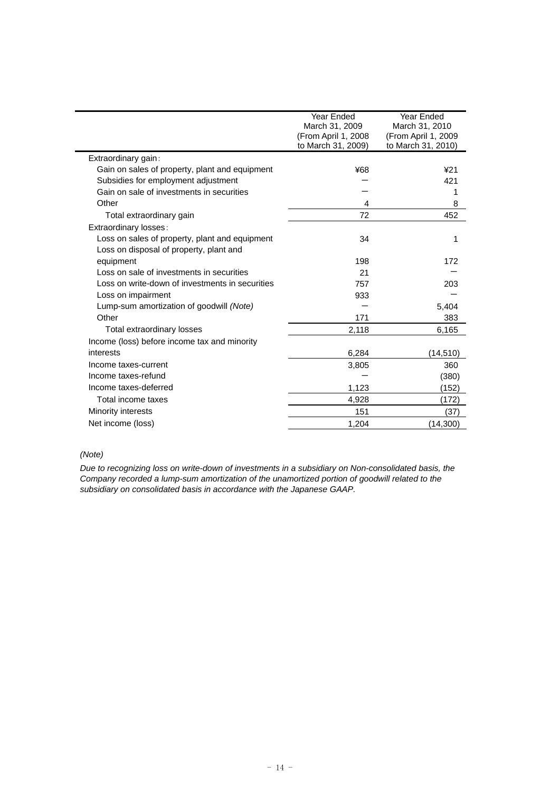|                                                 | Year Ended<br>March 31, 2009<br>(From April 1, 2008<br>to March 31, 2009) | Year Ended<br>March 31, 2010<br>(From April 1, 2009<br>to March 31, 2010) |
|-------------------------------------------------|---------------------------------------------------------------------------|---------------------------------------------------------------------------|
| Extraordinary gain:                             |                                                                           |                                                                           |
| Gain on sales of property, plant and equipment  | ¥68                                                                       | 421                                                                       |
| Subsidies for employment adjustment             |                                                                           | 421                                                                       |
| Gain on sale of investments in securities       |                                                                           | 1                                                                         |
| Other                                           | 4                                                                         | 8                                                                         |
| Total extraordinary gain                        | 72                                                                        | 452                                                                       |
| Extraordinary losses:                           |                                                                           |                                                                           |
| Loss on sales of property, plant and equipment  | 34                                                                        | 1                                                                         |
| Loss on disposal of property, plant and         |                                                                           |                                                                           |
| equipment                                       | 198                                                                       | 172                                                                       |
| Loss on sale of investments in securities       | 21                                                                        |                                                                           |
| Loss on write-down of investments in securities | 757                                                                       | 203                                                                       |
| Loss on impairment                              | 933                                                                       |                                                                           |
| Lump-sum amortization of goodwill (Note)        |                                                                           | 5,404                                                                     |
| Other                                           | 171                                                                       | 383                                                                       |
| Total extraordinary losses                      | 2,118                                                                     | 6,165                                                                     |
| Income (loss) before income tax and minority    |                                                                           |                                                                           |
| interests                                       | 6,284                                                                     | (14,510)                                                                  |
| Income taxes-current                            | 3,805                                                                     | 360                                                                       |
| Income taxes-refund                             |                                                                           | (380)                                                                     |
| Income taxes-deferred                           | 1,123                                                                     | (152)                                                                     |
| Total income taxes                              | 4,928                                                                     | (172)                                                                     |
| <b>Minority interests</b>                       | 151                                                                       | (37)                                                                      |
| Net income (loss)                               | 1,204                                                                     | (14, 300)                                                                 |

## *(Note)*

*Due to recognizing loss on write-down of investments in a subsidiary on Non-consolidated basis, the Company recorded a lump-sum amortization of the unamortized portion of goodwill related to the subsidiary on consolidated basis in accordance with the Japanese GAAP.*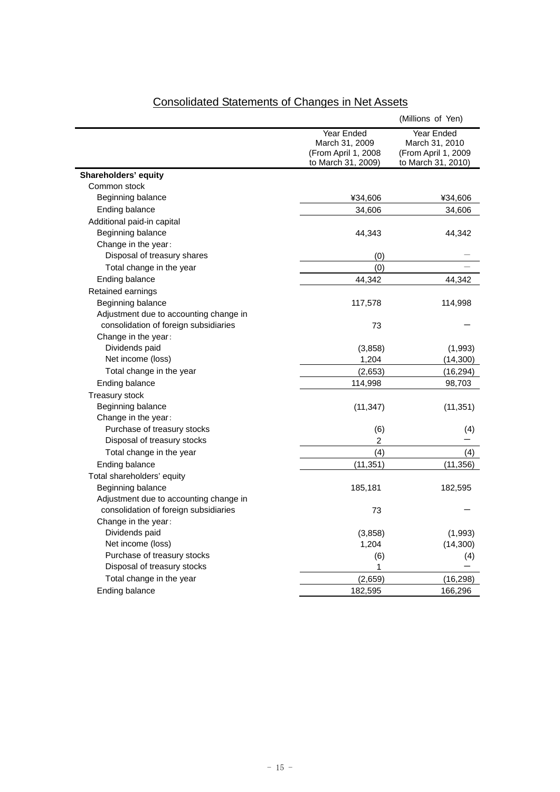| Year Ended<br>Year Ended<br>March 31, 2010<br>March 31, 2009<br>(From April 1, 2008<br>(From April 1, 2009<br>to March 31, 2009)<br>to March 31, 2010)<br>Shareholders' equity<br>Common stock<br>Beginning balance<br>¥34,606<br>¥34,606<br>Ending balance<br>34,606<br>34,606<br>Additional paid-in capital<br>Beginning balance<br>44,343<br>44,342<br>Change in the year:<br>Disposal of treasury shares<br>(0)<br>Total change in the year<br>(0)<br>Ending balance<br>44,342<br>44,342<br>Retained earnings<br>Beginning balance<br>117,578<br>114,998<br>Adjustment due to accounting change in<br>consolidation of foreign subsidiaries<br>73<br>Change in the year:<br>Dividends paid<br>(3,858)<br>(1,993)<br>Net income (loss)<br>1,204<br>(14, 300)<br>Total change in the year<br>(2,653)<br>(16, 294)<br>Ending balance<br>114,998<br>98,703<br><b>Treasury stock</b><br>Beginning balance<br>(11, 347)<br>(11, 351)<br>Change in the year: |                             |     | (Millions of Yen) |
|-----------------------------------------------------------------------------------------------------------------------------------------------------------------------------------------------------------------------------------------------------------------------------------------------------------------------------------------------------------------------------------------------------------------------------------------------------------------------------------------------------------------------------------------------------------------------------------------------------------------------------------------------------------------------------------------------------------------------------------------------------------------------------------------------------------------------------------------------------------------------------------------------------------------------------------------------------------|-----------------------------|-----|-------------------|
|                                                                                                                                                                                                                                                                                                                                                                                                                                                                                                                                                                                                                                                                                                                                                                                                                                                                                                                                                           |                             |     |                   |
|                                                                                                                                                                                                                                                                                                                                                                                                                                                                                                                                                                                                                                                                                                                                                                                                                                                                                                                                                           |                             |     |                   |
|                                                                                                                                                                                                                                                                                                                                                                                                                                                                                                                                                                                                                                                                                                                                                                                                                                                                                                                                                           |                             |     |                   |
|                                                                                                                                                                                                                                                                                                                                                                                                                                                                                                                                                                                                                                                                                                                                                                                                                                                                                                                                                           |                             |     |                   |
|                                                                                                                                                                                                                                                                                                                                                                                                                                                                                                                                                                                                                                                                                                                                                                                                                                                                                                                                                           |                             |     |                   |
|                                                                                                                                                                                                                                                                                                                                                                                                                                                                                                                                                                                                                                                                                                                                                                                                                                                                                                                                                           |                             |     |                   |
|                                                                                                                                                                                                                                                                                                                                                                                                                                                                                                                                                                                                                                                                                                                                                                                                                                                                                                                                                           |                             |     |                   |
|                                                                                                                                                                                                                                                                                                                                                                                                                                                                                                                                                                                                                                                                                                                                                                                                                                                                                                                                                           |                             |     |                   |
|                                                                                                                                                                                                                                                                                                                                                                                                                                                                                                                                                                                                                                                                                                                                                                                                                                                                                                                                                           |                             |     |                   |
|                                                                                                                                                                                                                                                                                                                                                                                                                                                                                                                                                                                                                                                                                                                                                                                                                                                                                                                                                           |                             |     |                   |
|                                                                                                                                                                                                                                                                                                                                                                                                                                                                                                                                                                                                                                                                                                                                                                                                                                                                                                                                                           |                             |     |                   |
|                                                                                                                                                                                                                                                                                                                                                                                                                                                                                                                                                                                                                                                                                                                                                                                                                                                                                                                                                           |                             |     |                   |
|                                                                                                                                                                                                                                                                                                                                                                                                                                                                                                                                                                                                                                                                                                                                                                                                                                                                                                                                                           |                             |     |                   |
|                                                                                                                                                                                                                                                                                                                                                                                                                                                                                                                                                                                                                                                                                                                                                                                                                                                                                                                                                           |                             |     |                   |
|                                                                                                                                                                                                                                                                                                                                                                                                                                                                                                                                                                                                                                                                                                                                                                                                                                                                                                                                                           |                             |     |                   |
|                                                                                                                                                                                                                                                                                                                                                                                                                                                                                                                                                                                                                                                                                                                                                                                                                                                                                                                                                           |                             |     |                   |
|                                                                                                                                                                                                                                                                                                                                                                                                                                                                                                                                                                                                                                                                                                                                                                                                                                                                                                                                                           |                             |     |                   |
|                                                                                                                                                                                                                                                                                                                                                                                                                                                                                                                                                                                                                                                                                                                                                                                                                                                                                                                                                           |                             |     |                   |
|                                                                                                                                                                                                                                                                                                                                                                                                                                                                                                                                                                                                                                                                                                                                                                                                                                                                                                                                                           |                             |     |                   |
|                                                                                                                                                                                                                                                                                                                                                                                                                                                                                                                                                                                                                                                                                                                                                                                                                                                                                                                                                           |                             |     |                   |
|                                                                                                                                                                                                                                                                                                                                                                                                                                                                                                                                                                                                                                                                                                                                                                                                                                                                                                                                                           |                             |     |                   |
|                                                                                                                                                                                                                                                                                                                                                                                                                                                                                                                                                                                                                                                                                                                                                                                                                                                                                                                                                           |                             |     |                   |
|                                                                                                                                                                                                                                                                                                                                                                                                                                                                                                                                                                                                                                                                                                                                                                                                                                                                                                                                                           |                             |     |                   |
|                                                                                                                                                                                                                                                                                                                                                                                                                                                                                                                                                                                                                                                                                                                                                                                                                                                                                                                                                           |                             |     |                   |
|                                                                                                                                                                                                                                                                                                                                                                                                                                                                                                                                                                                                                                                                                                                                                                                                                                                                                                                                                           |                             |     |                   |
|                                                                                                                                                                                                                                                                                                                                                                                                                                                                                                                                                                                                                                                                                                                                                                                                                                                                                                                                                           |                             |     |                   |
|                                                                                                                                                                                                                                                                                                                                                                                                                                                                                                                                                                                                                                                                                                                                                                                                                                                                                                                                                           | Purchase of treasury stocks | (6) | (4)               |
| Disposal of treasury stocks<br>$\overline{2}$                                                                                                                                                                                                                                                                                                                                                                                                                                                                                                                                                                                                                                                                                                                                                                                                                                                                                                             |                             |     |                   |
| Total change in the year<br>(4)<br>(4)                                                                                                                                                                                                                                                                                                                                                                                                                                                                                                                                                                                                                                                                                                                                                                                                                                                                                                                    |                             |     |                   |
| Ending balance<br>(11, 351)<br>(11, 356)                                                                                                                                                                                                                                                                                                                                                                                                                                                                                                                                                                                                                                                                                                                                                                                                                                                                                                                  |                             |     |                   |
| Total shareholders' equity                                                                                                                                                                                                                                                                                                                                                                                                                                                                                                                                                                                                                                                                                                                                                                                                                                                                                                                                |                             |     |                   |
| Beginning balance<br>185,181<br>182,595                                                                                                                                                                                                                                                                                                                                                                                                                                                                                                                                                                                                                                                                                                                                                                                                                                                                                                                   |                             |     |                   |
| Adjustment due to accounting change in                                                                                                                                                                                                                                                                                                                                                                                                                                                                                                                                                                                                                                                                                                                                                                                                                                                                                                                    |                             |     |                   |
| consolidation of foreign subsidiaries<br>73                                                                                                                                                                                                                                                                                                                                                                                                                                                                                                                                                                                                                                                                                                                                                                                                                                                                                                               |                             |     |                   |
| Change in the year:                                                                                                                                                                                                                                                                                                                                                                                                                                                                                                                                                                                                                                                                                                                                                                                                                                                                                                                                       |                             |     |                   |
| Dividends paid<br>(3,858)<br>(1,993)                                                                                                                                                                                                                                                                                                                                                                                                                                                                                                                                                                                                                                                                                                                                                                                                                                                                                                                      |                             |     |                   |
| Net income (loss)<br>1,204<br>(14,300)                                                                                                                                                                                                                                                                                                                                                                                                                                                                                                                                                                                                                                                                                                                                                                                                                                                                                                                    |                             |     |                   |
| Purchase of treasury stocks<br>(6)<br>(4)                                                                                                                                                                                                                                                                                                                                                                                                                                                                                                                                                                                                                                                                                                                                                                                                                                                                                                                 |                             |     |                   |
| Disposal of treasury stocks<br>1                                                                                                                                                                                                                                                                                                                                                                                                                                                                                                                                                                                                                                                                                                                                                                                                                                                                                                                          |                             |     |                   |
| Total change in the year<br>(2,659)<br>(16, 298)                                                                                                                                                                                                                                                                                                                                                                                                                                                                                                                                                                                                                                                                                                                                                                                                                                                                                                          |                             |     |                   |
| Ending balance<br>182,595<br>166,296                                                                                                                                                                                                                                                                                                                                                                                                                                                                                                                                                                                                                                                                                                                                                                                                                                                                                                                      |                             |     |                   |

# Consolidated Statements of Changes in Net Assets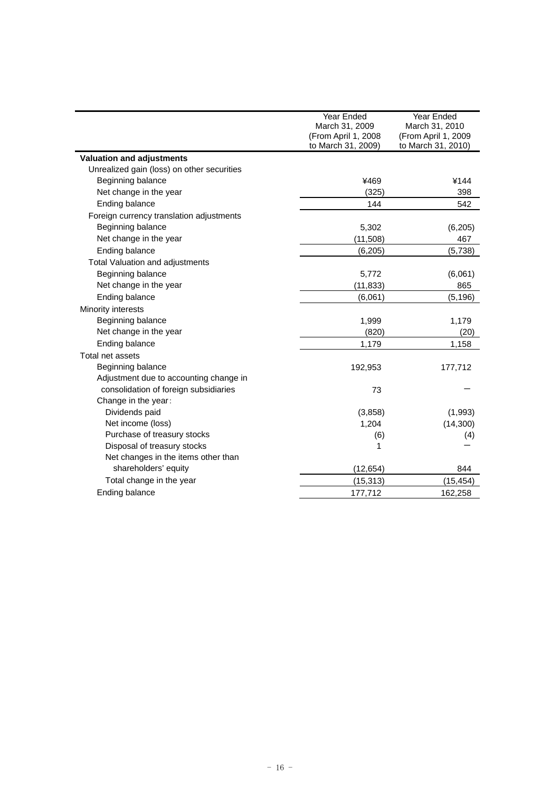|                                            | Year Ended<br>March 31, 2009<br>(From April 1, 2008) | Year Ended<br>March 31, 2010<br>(From April 1, 2009 |
|--------------------------------------------|------------------------------------------------------|-----------------------------------------------------|
|                                            | to March 31, 2009)                                   | to March 31, 2010)                                  |
| <b>Valuation and adjustments</b>           |                                                      |                                                     |
| Unrealized gain (loss) on other securities |                                                      |                                                     |
| Beginning balance                          | ¥469                                                 | ¥144                                                |
| Net change in the year                     | (325)                                                | 398                                                 |
| Ending balance                             | 144                                                  | 542                                                 |
| Foreign currency translation adjustments   |                                                      |                                                     |
| Beginning balance                          | 5,302                                                | (6,205)                                             |
| Net change in the year                     | (11, 508)                                            | 467                                                 |
| Ending balance                             | (6,205)                                              | (5,738)                                             |
| Total Valuation and adjustments            |                                                      |                                                     |
| Beginning balance                          | 5,772                                                | (6,061)                                             |
| Net change in the year                     | (11, 833)                                            | 865                                                 |
| Ending balance                             | (6,061)                                              | (5, 196)                                            |
| Minority interests                         |                                                      |                                                     |
| Beginning balance                          | 1,999                                                | 1,179                                               |
| Net change in the year                     | (820)                                                | (20)                                                |
| Ending balance                             | 1,179                                                | 1,158                                               |
| Total net assets                           |                                                      |                                                     |
| Beginning balance                          | 192,953                                              | 177,712                                             |
| Adjustment due to accounting change in     |                                                      |                                                     |
| consolidation of foreign subsidiaries      | 73                                                   |                                                     |
| Change in the year:                        |                                                      |                                                     |
| Dividends paid                             | (3,858)                                              | (1,993)                                             |
| Net income (loss)                          | 1,204                                                | (14,300)                                            |
| Purchase of treasury stocks                | (6)                                                  | (4)                                                 |
| Disposal of treasury stocks                | 1                                                    |                                                     |
| Net changes in the items other than        |                                                      |                                                     |
| shareholders' equity                       | (12, 654)                                            | 844                                                 |
| Total change in the year                   | (15, 313)                                            | (15, 454)                                           |
| Ending balance                             | 177,712                                              | 162,258                                             |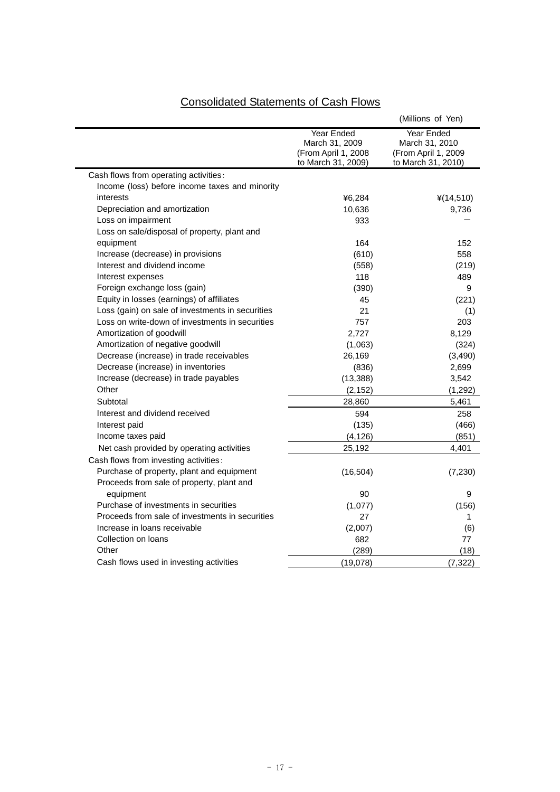# Consolidated Statements of Cash Flows

|                                                  |                                                                           | (Millions of Yen)                                                                |
|--------------------------------------------------|---------------------------------------------------------------------------|----------------------------------------------------------------------------------|
|                                                  | Year Ended<br>March 31, 2009<br>(From April 1, 2008<br>to March 31, 2009) | <b>Year Ended</b><br>March 31, 2010<br>(From April 1, 2009<br>to March 31, 2010) |
| Cash flows from operating activities:            |                                                                           |                                                                                  |
| Income (loss) before income taxes and minority   |                                                                           |                                                                                  |
| interests                                        | ¥6,284                                                                    | ¥(14,510)                                                                        |
| Depreciation and amortization                    | 10,636                                                                    | 9,736                                                                            |
| Loss on impairment                               | 933                                                                       |                                                                                  |
| Loss on sale/disposal of property, plant and     |                                                                           |                                                                                  |
| equipment                                        | 164                                                                       | 152                                                                              |
| Increase (decrease) in provisions                | (610)                                                                     | 558                                                                              |
| Interest and dividend income                     | (558)                                                                     | (219)                                                                            |
| Interest expenses                                | 118                                                                       | 489                                                                              |
| Foreign exchange loss (gain)                     | (390)                                                                     | 9                                                                                |
| Equity in losses (earnings) of affiliates        | 45                                                                        | (221)                                                                            |
| Loss (gain) on sale of investments in securities | 21                                                                        | (1)                                                                              |
| Loss on write-down of investments in securities  | 757                                                                       | 203                                                                              |
| Amortization of goodwill                         | 2,727                                                                     | 8,129                                                                            |
| Amortization of negative goodwill                | (1,063)                                                                   | (324)                                                                            |
| Decrease (increase) in trade receivables         | 26,169                                                                    | (3,490)                                                                          |
| Decrease (increase) in inventories               | (836)                                                                     | 2,699                                                                            |
| Increase (decrease) in trade payables            | (13, 388)                                                                 | 3,542                                                                            |
| Other                                            | (2, 152)                                                                  | (1, 292)                                                                         |
| Subtotal                                         | 28,860                                                                    | 5,461                                                                            |
| Interest and dividend received                   | 594                                                                       | 258                                                                              |
| Interest paid                                    | (135)                                                                     | (466)                                                                            |
| Income taxes paid                                | (4, 126)                                                                  | (851)                                                                            |
| Net cash provided by operating activities        | 25,192                                                                    | 4,401                                                                            |
| Cash flows from investing activities:            |                                                                           |                                                                                  |
| Purchase of property, plant and equipment        | (16, 504)                                                                 | (7, 230)                                                                         |
| Proceeds from sale of property, plant and        |                                                                           |                                                                                  |
| equipment                                        | 90                                                                        | 9                                                                                |
| Purchase of investments in securities            | (1,077)                                                                   | (156)                                                                            |
| Proceeds from sale of investments in securities  | 27                                                                        | 1.                                                                               |
| Increase in loans receivable                     | (2,007)                                                                   | (6)                                                                              |
| Collection on loans                              | 682                                                                       | 77                                                                               |
| Other                                            | (289)                                                                     | (18)                                                                             |
| Cash flows used in investing activities          | (19,078)                                                                  | (7, 322)                                                                         |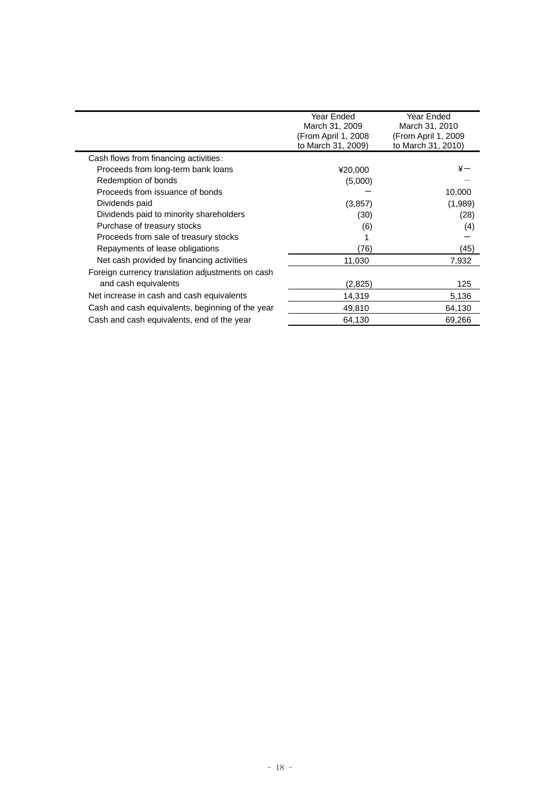|                                                  | Year Ended<br>March 31, 2009 | Year Ended<br>March 31, 2010 |
|--------------------------------------------------|------------------------------|------------------------------|
|                                                  | (From April 1, 2008          | (From April 1, 2009          |
|                                                  | to March 31, 2009)           | to March 31, 2010)           |
| Cash flows from financing activities:            |                              |                              |
| Proceeds from long-term bank loans               | ¥20,000                      | ¥—                           |
| Redemption of bonds                              | (5,000)                      |                              |
| Proceeds from issuance of bonds                  |                              | 10,000                       |
| Dividends paid                                   | (3,857)                      | (1,989)                      |
| Dividends paid to minority shareholders          | (30)                         | (28)                         |
| Purchase of treasury stocks                      | (6)                          | (4)                          |
| Proceeds from sale of treasury stocks            |                              |                              |
| Repayments of lease obligations                  | (76)                         | (45)                         |
| Net cash provided by financing activities        | 11,030                       | 7,932                        |
| Foreign currency translation adjustments on cash |                              |                              |
| and cash equivalents                             | (2,825)                      | 125                          |
| Net increase in cash and cash equivalents        | 14,319                       | 5,136                        |
| Cash and cash equivalents, beginning of the year | 49,810                       | 64,130                       |
| Cash and cash equivalents, end of the year       | 64,130                       | 69,266                       |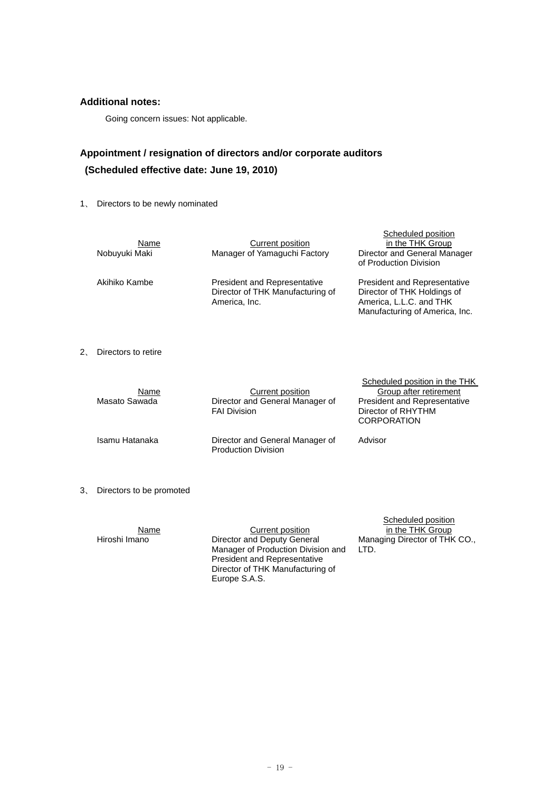## **Additional notes:**

Going concern issues: Not applicable.

## **Appointment / resignation of directors and/or corporate auditors (Scheduled effective date: June 19, 2010)**

1、 Directors to be newly nominated

| Name<br>Nobuyuki Maki | Current position<br>Manager of Yamaguchi Factory                                         | Scheduled position<br>in the THK Group<br>Director and General Manager<br>of Production Division                                |
|-----------------------|------------------------------------------------------------------------------------------|---------------------------------------------------------------------------------------------------------------------------------|
| Akihiko Kambe         | <b>President and Representative</b><br>Director of THK Manufacturing of<br>America, Inc. | <b>President and Representative</b><br>Director of THK Holdings of<br>America, L.L.C. and THK<br>Manufacturing of America, Inc. |

2、 Directors to retire

| Name<br>Masato Sawada | Current position<br>Director and General Manager of<br><b>FAI Division</b> | Scheduled position in the THK<br>Group after retirement<br><b>President and Representative</b><br>Director of RHYTHM<br><b>CORPORATION</b> |
|-----------------------|----------------------------------------------------------------------------|--------------------------------------------------------------------------------------------------------------------------------------------|
| Isamu Hatanaka        | Director and General Manager of<br><b>Production Division</b>              | Advisor                                                                                                                                    |

3、 Directors to be promoted

| Name          | Current position                                                                                                                                              | Scheduled position<br>in the THK Group |
|---------------|---------------------------------------------------------------------------------------------------------------------------------------------------------------|----------------------------------------|
| Hiroshi Imano | Director and Deputy General<br>Manager of Production Division and<br><b>President and Representative</b><br>Director of THK Manufacturing of<br>Europe S.A.S. | Managing Director of THK CO.,<br>LTD.  |